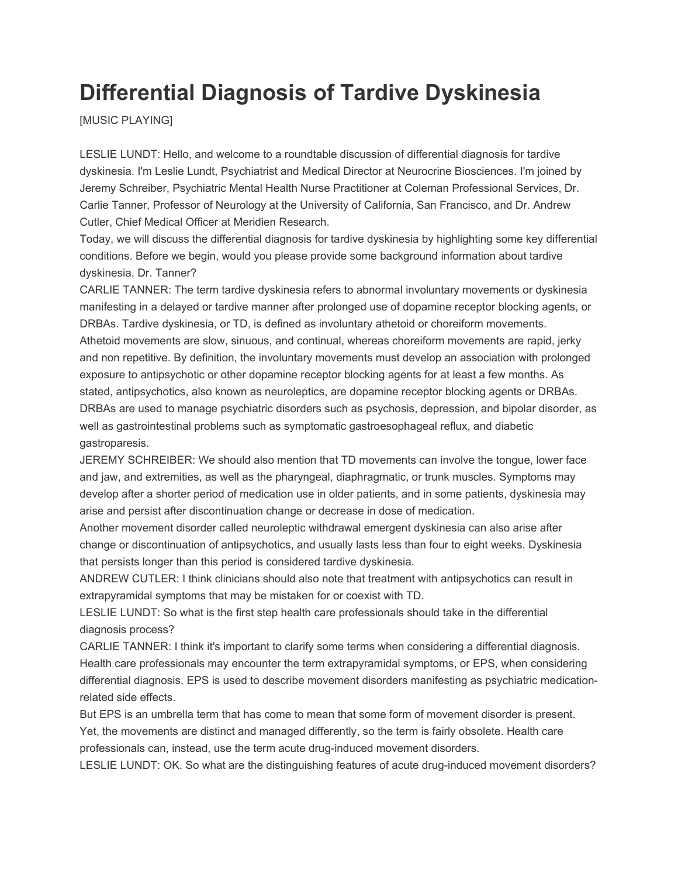## **Differential Diagnosis of Tardive Dyskinesia**

[MUSIC PLAYING]

LESLIE LUNDT: Hello, and welcome to a roundtable discussion of differential diagnosis for tardive dyskinesia. I'm Leslie Lundt, Psychiatrist and Medical Director at Neurocrine Biosciences. I'm joined by Jeremy Schreiber, Psychiatric Mental Health Nurse Practitioner at Coleman Professional Services, Dr. Carlie Tanner, Professor of Neurology at the University of California, San Francisco, and Dr. Andrew Cutler, Chief Medical Officer at Meridien Research.

Today, we will discuss the differential diagnosis for tardive dyskinesia by highlighting some key differential conditions. Before we begin, would you please provide some background information about tardive dyskinesia. Dr. Tanner?

CARLIE TANNER: The term tardive dyskinesia refers to abnormal involuntary movements or dyskinesia manifesting in a delayed or tardive manner after prolonged use of dopamine receptor blocking agents, or DRBAs. Tardive dyskinesia, or TD, is defined as involuntary athetoid or choreiform movements. Athetoid movements are slow, sinuous, and continual, whereas choreiform movements are rapid, jerky and non repetitive. By definition, the involuntary movements must develop an association with prolonged exposure to antipsychotic or other dopamine receptor blocking agents for at least a few months. As stated, antipsychotics, also known as neuroleptics, are dopamine receptor blocking agents or DRBAs. DRBAs are used to manage psychiatric disorders such as psychosis, depression, and bipolar disorder, as well as gastrointestinal problems such as symptomatic gastroesophageal reflux, and diabetic gastroparesis.

JEREMY SCHREIBER: We should also mention that TD movements can involve the tongue, lower face and jaw, and extremities, as well as the pharyngeal, diaphragmatic, or trunk muscles. Symptoms may develop after a shorter period of medication use in older patients, and in some patients, dyskinesia may arise and persist after discontinuation change or decrease in dose of medication.

Another movement disorder called neuroleptic withdrawal emergent dyskinesia can also arise after change or discontinuation of antipsychotics, and usually lasts less than four to eight weeks. Dyskinesia that persists longer than this period is considered tardive dyskinesia.

ANDREW CUTLER: I think clinicians should also note that treatment with antipsychotics can result in extrapyramidal symptoms that may be mistaken for or coexist with TD.

LESLIE LUNDT: So what is the first step health care professionals should take in the differential diagnosis process?

CARLIE TANNER: I think it's important to clarify some terms when considering a differential diagnosis. Health care professionals may encounter the term extrapyramidal symptoms, or EPS, when considering differential diagnosis. EPS is used to describe movement disorders manifesting as psychiatric medicationrelated side effects.

But EPS is an umbrella term that has come to mean that some form of movement disorder is present. Yet, the movements are distinct and managed differently, so the term is fairly obsolete. Health care professionals can, instead, use the term acute drug-induced movement disorders.

LESLIE LUNDT: OK. So what are the distinguishing features of acute drug-induced movement disorders?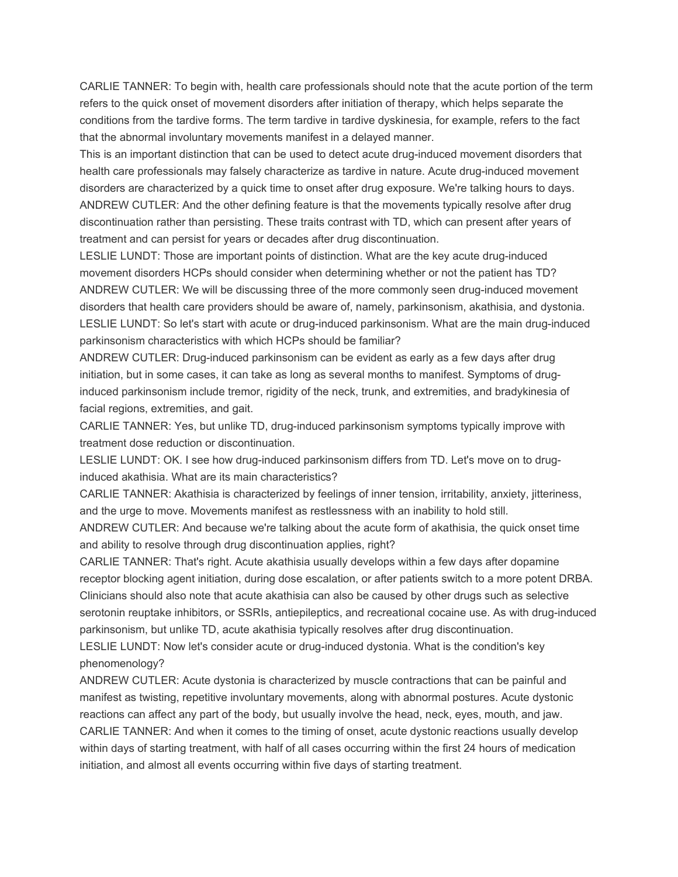CARLIE TANNER: To begin with, health care professionals should note that the acute portion of the term refers to the quick onset of movement disorders after initiation of therapy, which helps separate the conditions from the tardive forms. The term tardive in tardive dyskinesia, for example, refers to the fact that the abnormal involuntary movements manifest in a delayed manner.

This is an important distinction that can be used to detect acute drug-induced movement disorders that health care professionals may falsely characterize as tardive in nature. Acute drug-induced movement disorders are characterized by a quick time to onset after drug exposure. We're talking hours to days. ANDREW CUTLER: And the other defining feature is that the movements typically resolve after drug discontinuation rather than persisting. These traits contrast with TD, which can present after years of treatment and can persist for years or decades after drug discontinuation.

LESLIE LUNDT: Those are important points of distinction. What are the key acute drug-induced movement disorders HCPs should consider when determining whether or not the patient has TD? ANDREW CUTLER: We will be discussing three of the more commonly seen drug-induced movement disorders that health care providers should be aware of, namely, parkinsonism, akathisia, and dystonia. LESLIE LUNDT: So let's start with acute or drug-induced parkinsonism. What are the main drug-induced parkinsonism characteristics with which HCPs should be familiar?

ANDREW CUTLER: Drug-induced parkinsonism can be evident as early as a few days after drug initiation, but in some cases, it can take as long as several months to manifest. Symptoms of druginduced parkinsonism include tremor, rigidity of the neck, trunk, and extremities, and bradykinesia of facial regions, extremities, and gait.

CARLIE TANNER: Yes, but unlike TD, drug-induced parkinsonism symptoms typically improve with treatment dose reduction or discontinuation.

LESLIE LUNDT: OK. I see how drug-induced parkinsonism differs from TD. Let's move on to druginduced akathisia. What are its main characteristics?

CARLIE TANNER: Akathisia is characterized by feelings of inner tension, irritability, anxiety, jitteriness, and the urge to move. Movements manifest as restlessness with an inability to hold still.

ANDREW CUTLER: And because we're talking about the acute form of akathisia, the quick onset time and ability to resolve through drug discontinuation applies, right?

CARLIE TANNER: That's right. Acute akathisia usually develops within a few days after dopamine receptor blocking agent initiation, during dose escalation, or after patients switch to a more potent DRBA. Clinicians should also note that acute akathisia can also be caused by other drugs such as selective serotonin reuptake inhibitors, or SSRIs, antiepileptics, and recreational cocaine use. As with drug-induced parkinsonism, but unlike TD, acute akathisia typically resolves after drug discontinuation.

LESLIE LUNDT: Now let's consider acute or drug-induced dystonia. What is the condition's key phenomenology?

ANDREW CUTLER: Acute dystonia is characterized by muscle contractions that can be painful and manifest as twisting, repetitive involuntary movements, along with abnormal postures. Acute dystonic reactions can affect any part of the body, but usually involve the head, neck, eyes, mouth, and jaw. CARLIE TANNER: And when it comes to the timing of onset, acute dystonic reactions usually develop within days of starting treatment, with half of all cases occurring within the first 24 hours of medication initiation, and almost all events occurring within five days of starting treatment.